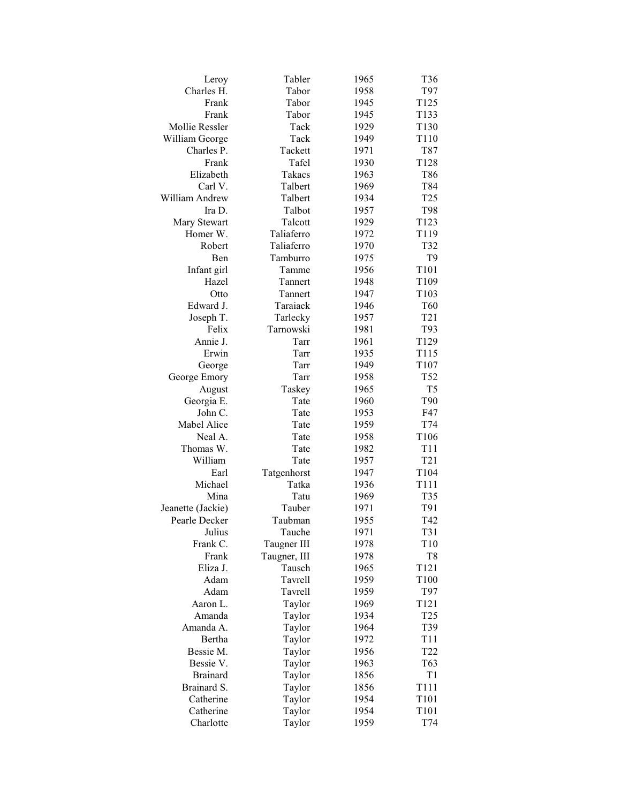| Leroy                              | Tabler       | 1965         | T36              |
|------------------------------------|--------------|--------------|------------------|
| Charles H.                         | Tabor        | 1958         | T97              |
| Frank                              | Tabor        | 1945         | T125             |
| Frank                              | Tabor        | 1945         | T133             |
| Mollie Ressler                     | Tack         | 1929         | T130             |
| William George                     | Tack         | 1949         | T110             |
| Charles P.                         | Tackett      | 1971         | T87              |
| Frank                              | Tafel        | 1930         | T128             |
| Elizabeth                          | Takacs       | 1963         | T86              |
| Carl V.                            | Talbert      | 1969         | T84              |
| William Andrew                     | Talbert      | 1934         | T <sub>25</sub>  |
| Ira D.                             | Talbot       | 1957         | T98              |
| Mary Stewart                       | Talcott      | 1929         | T123             |
| Homer W.                           | Taliaferro   | 1972         | T119             |
| Robert                             | Taliaferro   | 1970         | T32              |
| Ben                                | Tamburro     | 1975         | T <sub>9</sub>   |
| Infant girl                        | Tamme        | 1956         | T101             |
| Hazel                              | Tannert      | 1948         | T109             |
| Otto                               | Tannert      | 1947         | T <sub>103</sub> |
| Edward J.                          | Taraiack     | 1946         | T60              |
| Joseph T.                          | Tarlecky     | 1957         | T <sub>21</sub>  |
| Felix                              | Tarnowski    | 1981         | T93              |
| Annie J.                           | Tarr         | 1961         | T129             |
| Erwin                              | Tarr         | 1935         | T115             |
| George                             | Tarr         | 1949         | T107             |
| George Emory                       | Tarr         | 1958         | T52              |
| August                             | Taskey       | 1965         | T <sub>5</sub>   |
| Georgia E.                         | Tate         | 1960         | T90              |
| John C.                            | Tate         | 1953         | F47              |
| Mabel Alice                        | Tate         | 1959         | T74              |
| Neal A.                            | Tate         | 1958         | T106             |
| Thomas W.                          | Tate         | 1982         | T <sub>11</sub>  |
| William                            | Tate         | 1957         | T <sub>21</sub>  |
| Earl                               | Tatgenhorst  | 1947         | T104             |
| Michael                            | Tatka        | 1936         | T111             |
| Mina                               | Tatu         | 1969         | T <sub>35</sub>  |
|                                    | Tauber       |              | T91              |
| Jeanette (Jackie)<br>Pearle Decker | Taubman      | 1971         | T42              |
| Julius                             | Tauche       | 1955<br>1971 | T31              |
| Frank C.                           | Taugner III  | 1978         | T10              |
| Frank                              | Taugner, III | 1978         | T <sub>8</sub>   |
|                                    |              |              | T121             |
| Eliza J.                           | Tausch       | 1965         |                  |
| Adam                               | Tavrell      | 1959<br>1959 | T100             |
| Adam                               | Tavrell      |              | T97              |
| Aaron L.<br>Amanda                 | Taylor       | 1969         | T <sub>121</sub> |
| Amanda A.                          | Taylor       | 1934         | T <sub>25</sub>  |
|                                    | Taylor       | 1964         | T39              |
| Bertha                             | Taylor       | 1972         | T <sub>11</sub>  |
| Bessie M.                          | Taylor       | 1956         | T <sub>22</sub>  |
| Bessie V.                          | Taylor       | 1963         | T63              |
| <b>Brainard</b>                    | Taylor       | 1856         | T1               |
| Brainard S.                        | Taylor       | 1856         | T111             |
| Catherine                          | Taylor       | 1954         | T101             |
| Catherine                          | Taylor       | 1954         | T <sub>101</sub> |
| Charlotte                          | Taylor       | 1959         | T74              |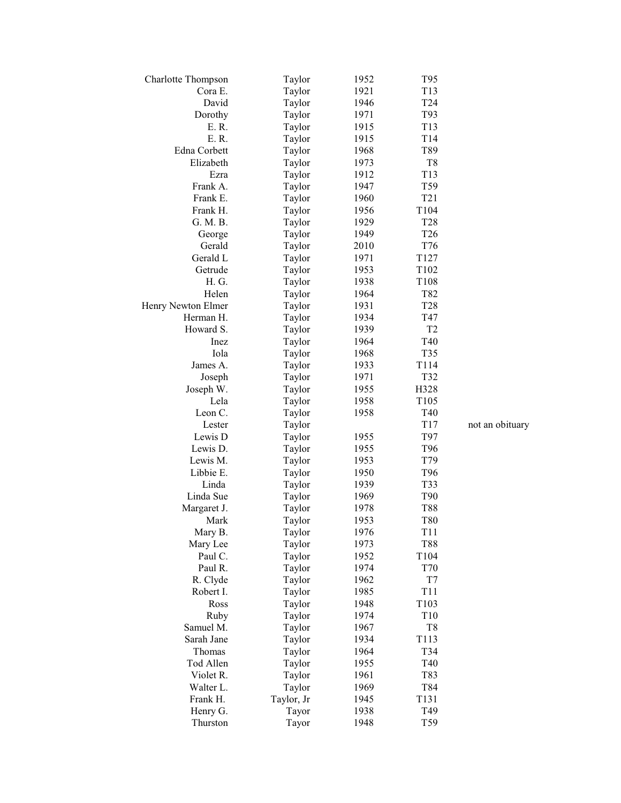| <b>Charlotte Thompson</b> | Taylor     | 1952 | T95              |                 |
|---------------------------|------------|------|------------------|-----------------|
| Cora E.                   | Taylor     | 1921 | T13              |                 |
| David                     | Taylor     | 1946 | T <sub>24</sub>  |                 |
| Dorothy                   | Taylor     | 1971 | T93              |                 |
| E. R.                     | Taylor     | 1915 | T13              |                 |
| E. R.                     | Taylor     | 1915 | T14              |                 |
| Edna Corbett              | Taylor     | 1968 | T89              |                 |
| Elizabeth                 | Taylor     | 1973 | T8               |                 |
| Ezra                      | Taylor     | 1912 | T13              |                 |
| Frank A.                  | Taylor     | 1947 | T59              |                 |
| Frank E.                  | Taylor     | 1960 | T <sub>21</sub>  |                 |
| Frank H.                  | Taylor     | 1956 | T104             |                 |
| G. M. B.                  | Taylor     | 1929 | T <sub>28</sub>  |                 |
| George                    | Taylor     | 1949 | T <sub>26</sub>  |                 |
| Gerald                    | Taylor     | 2010 | T76              |                 |
| Gerald L                  | Taylor     | 1971 | T <sub>127</sub> |                 |
| Getrude                   | Taylor     | 1953 | T102             |                 |
| H. G.                     | Taylor     | 1938 | T <sub>108</sub> |                 |
| Helen                     | Taylor     | 1964 | T82              |                 |
| Henry Newton Elmer        | Taylor     | 1931 | <b>T28</b>       |                 |
| Herman H.                 | Taylor     | 1934 | T47              |                 |
| Howard S.                 | Taylor     | 1939 | T <sub>2</sub>   |                 |
| Inez                      | Taylor     | 1964 | T40              |                 |
| Iola                      | Taylor     | 1968 | T35              |                 |
| James A.                  | Taylor     | 1933 | T114             |                 |
| Joseph                    | Taylor     | 1971 | T32              |                 |
| Joseph W.                 | Taylor     | 1955 | H328             |                 |
| Lela                      | Taylor     | 1958 | T <sub>105</sub> |                 |
| Leon C.                   | Taylor     | 1958 | T40              |                 |
| Lester                    | Taylor     |      | T17              | not an obituary |
| Lewis D                   | Taylor     | 1955 | T97              |                 |
| Lewis D.                  | Taylor     | 1955 | T96              |                 |
| Lewis M.                  | Taylor     | 1953 | T79              |                 |
| Libbie E.                 | Taylor     | 1950 | T <sub>96</sub>  |                 |
| Linda                     | Taylor     | 1939 | T33              |                 |
| Linda Sue                 | Taylor     | 1969 | T90              |                 |
| Margaret J.               | Taylor     | 1978 | T88              |                 |
| Mark                      | Taylor     | 1953 | T80              |                 |
| Mary B.                   | Taylor     | 1976 | T11              |                 |
| Mary Lee                  | Taylor     | 1973 | T88              |                 |
| Paul C.                   | Taylor     | 1952 | T104             |                 |
| Paul R.                   | Taylor     | 1974 | T70              |                 |
| R. Clyde                  | Taylor     | 1962 | T7               |                 |
| Robert I.                 | Taylor     | 1985 | T11              |                 |
| Ross                      | Taylor     | 1948 | T103             |                 |
| Ruby                      | Taylor     | 1974 | T <sub>10</sub>  |                 |
| Samuel M.                 | Taylor     | 1967 | T8               |                 |
| Sarah Jane                | Taylor     | 1934 | T <sub>113</sub> |                 |
| Thomas                    | Taylor     | 1964 | T34              |                 |
| Tod Allen                 | Taylor     | 1955 | T40              |                 |
| Violet R.                 | Taylor     | 1961 | T83              |                 |
| Walter L.                 | Taylor     | 1969 | T84              |                 |
| Frank H.                  | Taylor, Jr | 1945 | T131             |                 |
| Henry G.                  | Tayor      | 1938 | T49              |                 |
| Thurston                  | Tayor      | 1948 | T59              |                 |
|                           |            |      |                  |                 |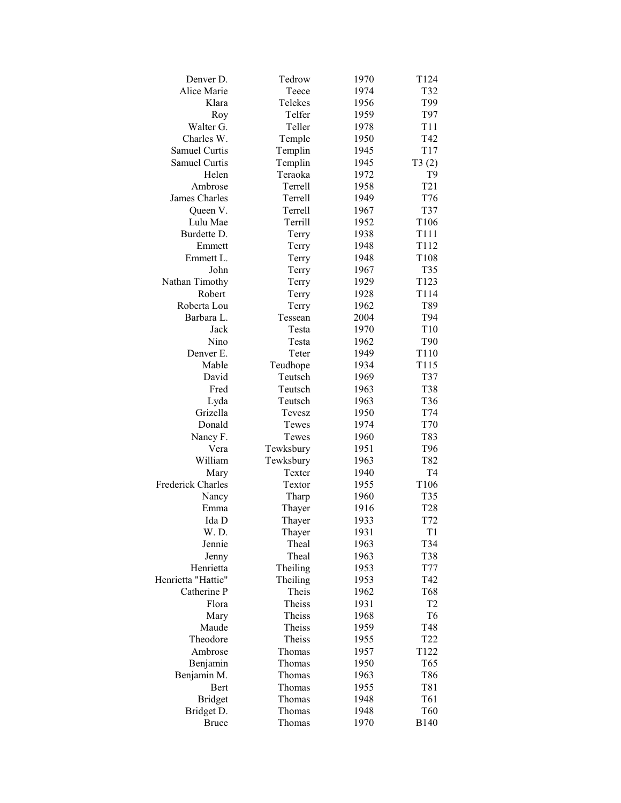| Denver D.                | Tedrow    | 1970         | T124             |
|--------------------------|-----------|--------------|------------------|
| Alice Marie              | Teece     | 1974         | T32              |
| Klara                    | Telekes   | 1956         | T99              |
| Roy                      | Telfer    | 1959         | T97              |
| Walter G.                | Teller    | 1978         | T <sub>11</sub>  |
| Charles W.               | Temple    | 1950         | T42              |
| Samuel Curtis            | Templin   | 1945         | T17              |
| Samuel Curtis            | Templin   | 1945         | T3(2)            |
| Helen                    | Teraoka   | 1972         | T <sub>9</sub>   |
| Ambrose                  | Terrell   | 1958         | T <sub>21</sub>  |
| James Charles            | Terrell   | 1949         | T76              |
| Queen V.                 | Terrell   | 1967         | T37              |
| Lulu Mae                 | Terrill   | 1952         | T106             |
| Burdette D.              | Terry     | 1938         | T <sub>111</sub> |
| Emmett                   | Terry     | 1948         | T112             |
| Emmett L.                | Terry     | 1948         | T108             |
| John                     | Terry     | 1967         | T35              |
| Nathan Timothy           | Terry     | 1929         | T123             |
| Robert                   | Terry     | 1928         | T <sub>114</sub> |
| Roberta Lou              | Terry     | 1962         | T89              |
| Barbara L.               | Tessean   | 2004         | T94              |
| Jack                     | Testa     | 1970         | T10              |
| Nino                     | Testa     | 1962         | T <sub>90</sub>  |
| Denver E.                | Teter     | 1949         | T110             |
| Mable                    | Teudhope  | 1934         | T115             |
| David                    | Teutsch   | 1969         | T37              |
| Fred                     | Teutsch   | 1963         | T38              |
| Lyda                     | Teutsch   | 1963         | T36              |
| Grizella                 | Tevesz    | 1950         | T74              |
| Donald                   | Tewes     | 1974         | T70              |
|                          | Tewes     | 1960         | T83              |
| Nancy F.<br>Vera         |           |              |                  |
| William                  | Tewksbury | 1951<br>1963 | T96              |
|                          | Tewksbury |              | T82              |
| Mary                     | Texter    | 1940         | T4               |
| <b>Frederick Charles</b> | Textor    | 1955         | T106             |
| Nancy                    | Tharp     | 1960         | T35              |
| Emma                     | Thayer    | 1916         | <b>T28</b>       |
| Ida D                    | Thayer    | 1933         | T72              |
| W. D.                    | Thayer    | 1931         | T <sub>1</sub>   |
| Jennie                   | Theal     | 1963         | T34              |
| Jenny                    | Theal     | 1963         | T38              |
| Henrietta                | Theiling  | 1953         | <b>T77</b>       |
| Henrietta "Hattie"       | Theiling  | 1953         | T42              |
| Catherine P              | Theis     | 1962         | T68              |
| Flora                    | Theiss    | 1931         | T <sub>2</sub>   |
| Mary                     | Theiss    | 1968         | T <sub>6</sub>   |
| Maude                    | Theiss    | 1959         | T48              |
| Theodore                 | Theiss    | 1955         | T <sub>22</sub>  |
| Ambrose                  | Thomas    | 1957         | T122             |
| Benjamin                 | Thomas    | 1950         | T65              |
| Benjamin M.              | Thomas    | 1963         | T86              |
| Bert                     | Thomas    | 1955         | T81              |
| <b>Bridget</b>           | Thomas    | 1948         | T <sub>61</sub>  |
| Bridget D.               | Thomas    | 1948         | T <sub>60</sub>  |
| <b>Bruce</b>             | Thomas    | 1970         | <b>B140</b>      |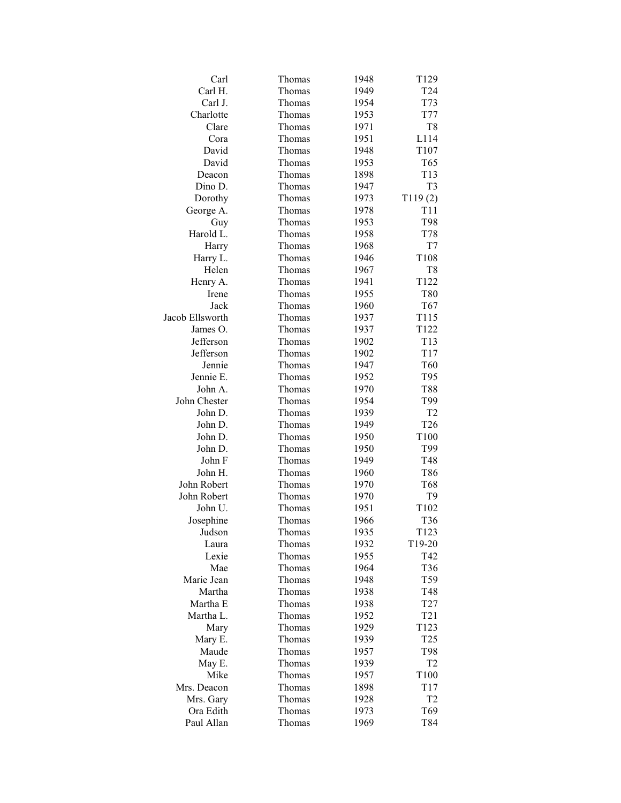| Carl            | Thomas | 1948 | T <sub>129</sub> |
|-----------------|--------|------|------------------|
| Carl H.         | Thomas | 1949 | T <sub>24</sub>  |
| Carl J.         | Thomas | 1954 | T73              |
| Charlotte       | Thomas | 1953 | T77              |
| Clare           | Thomas | 1971 | T8               |
| Cora            | Thomas | 1951 | L114             |
| David           | Thomas | 1948 | T <sub>107</sub> |
| David           | Thomas | 1953 | T65              |
| Deacon          | Thomas | 1898 | T13              |
| Dino D.         | Thomas | 1947 | T <sub>3</sub>   |
| Dorothy         | Thomas | 1973 | T119(2)          |
| George A.       | Thomas | 1978 | T <sub>11</sub>  |
| Guy             | Thomas | 1953 | T98              |
| Harold L.       | Thomas | 1958 | <b>T78</b>       |
| Harry           | Thomas | 1968 | T7               |
| Harry L.        | Thomas | 1946 | T108             |
| Helen           | Thomas | 1967 | T8               |
| Henry A.        | Thomas | 1941 | T122             |
| Irene           | Thomas | 1955 | T80              |
| Jack            | Thomas | 1960 | T67              |
| Jacob Ellsworth | Thomas | 1937 | T115             |
| James O.        |        |      |                  |
|                 | Thomas | 1937 | T122             |
| Jefferson       | Thomas | 1902 | T <sub>13</sub>  |
| Jefferson       | Thomas | 1902 | T17              |
| Jennie          | Thomas | 1947 | T60              |
| Jennie E.       | Thomas | 1952 | T95              |
| John A.         | Thomas | 1970 | T88              |
| John Chester    | Thomas | 1954 | T99              |
| John D.         | Thomas | 1939 | T <sub>2</sub>   |
| John D.         | Thomas | 1949 | T <sub>26</sub>  |
| John D.         | Thomas | 1950 | T <sub>100</sub> |
| John D.         | Thomas | 1950 | T99              |
| John F          | Thomas | 1949 | T48              |
| John H.         | Thomas | 1960 | T86              |
| John Robert     | Thomas | 1970 | T68              |
| John Robert     | Thomas | 1970 | T9               |
| John U.         | Thomas | 1951 | T <sub>102</sub> |
| Josephine       | Thomas | 1966 | T <sub>36</sub>  |
| Judson          | Thomas | 1935 | T123             |
| Laura           | Thomas | 1932 | T19-20           |
| Lexie           | Thomas | 1955 | T42              |
| Mae             | Thomas | 1964 | T36              |
| Marie Jean      | Thomas | 1948 | T59              |
| Martha          | Thomas | 1938 | T48              |
| Martha E        | Thomas | 1938 | T <sub>27</sub>  |
| Martha L.       | Thomas | 1952 | T <sub>21</sub>  |
| Mary            | Thomas | 1929 | T <sub>123</sub> |
| Mary E.         | Thomas | 1939 | T <sub>25</sub>  |
| Maude           | Thomas | 1957 | T98              |
| May E.          | Thomas | 1939 | T <sub>2</sub>   |
| Mike            | Thomas | 1957 | T100             |
| Mrs. Deacon     | Thomas | 1898 | T17              |
| Mrs. Gary       | Thomas | 1928 | T <sub>2</sub>   |
| Ora Edith       | Thomas | 1973 | T69              |
| Paul Allan      | Thomas | 1969 | T84              |
|                 |        |      |                  |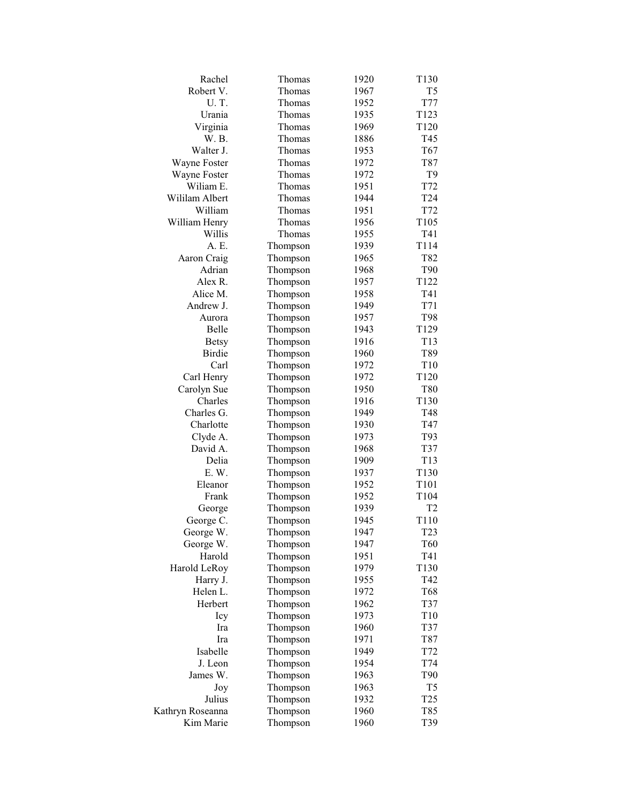| Rachel           | Thomas               | 1920 | T <sub>130</sub> |
|------------------|----------------------|------|------------------|
| Robert V.        | Thomas               | 1967 | T <sub>5</sub>   |
| U.T.             | Thomas               | 1952 | T77              |
| Urania           | Thomas               | 1935 | T123             |
| Virginia         | Thomas               | 1969 | T <sub>120</sub> |
| W. B.            | Thomas               | 1886 | T45              |
| Walter J.        | Thomas               | 1953 | T67              |
| Wayne Foster     | Thomas               | 1972 | T87              |
| Wayne Foster     | Thomas               | 1972 | T9               |
| Wiliam E.        | Thomas               | 1951 | T72              |
| Wililam Albert   | Thomas               | 1944 | T <sub>24</sub>  |
| William          | Thomas               | 1951 | T72              |
| William Henry    | Thomas               | 1956 | T <sub>105</sub> |
| Willis           | Thomas               | 1955 | T41              |
| A. E.            | Thompson             | 1939 | T114             |
| Aaron Craig      | Thompson             | 1965 | T82              |
| Adrian           | Thompson             | 1968 | T90              |
| Alex R.          | Thompson             | 1957 | T <sub>122</sub> |
| Alice M.         | Thompson             | 1958 | T41              |
| Andrew J.        |                      | 1949 | T71              |
| Aurora           | Thompson<br>Thompson | 1957 | T98              |
| Belle            |                      |      | T129             |
|                  | Thompson             | 1943 |                  |
| <b>Betsy</b>     | Thompson             | 1916 | T13              |
| <b>Birdie</b>    | Thompson             | 1960 | T89              |
| Carl             | Thompson             | 1972 | T <sub>10</sub>  |
| Carl Henry       | Thompson             | 1972 | T <sub>120</sub> |
| Carolyn Sue      | Thompson             | 1950 | T80              |
| Charles          | Thompson             | 1916 | T130             |
| Charles G.       | Thompson             | 1949 | T48              |
| Charlotte        | Thompson             | 1930 | T47              |
| Clyde A.         | Thompson             | 1973 | T93              |
| David A.         | Thompson             | 1968 | T37              |
| Delia            | Thompson             | 1909 | T <sub>13</sub>  |
| E. W.            | Thompson             | 1937 | T130             |
| Eleanor          | Thompson             | 1952 | T101             |
| Frank            | Thompson             | 1952 | T104             |
| George           | Thompson             | 1939 | T <sub>2</sub>   |
| George C.        | Thompson             | 1945 | T110             |
| George W.        | Thompson             | 1947 | T <sub>23</sub>  |
| George W.        | Thompson             | 1947 | T60              |
| Harold           | Thompson             | 1951 | T41              |
| Harold LeRoy     | Thompson             | 1979 | T130             |
| Harry J.         | Thompson             | 1955 | T42              |
| Helen L.         | Thompson             | 1972 | T68              |
| Herbert          | Thompson             | 1962 | T37              |
| Icy              | Thompson             | 1973 | T <sub>10</sub>  |
| Ira              | Thompson             | 1960 | T37              |
| Ira              | Thompson             | 1971 | T87              |
| Isabelle         | Thompson             | 1949 | T72              |
| J. Leon          | Thompson             | 1954 | T74              |
| James W.         | Thompson             | 1963 | T90              |
| Joy              | Thompson             | 1963 | T <sub>5</sub>   |
| Julius           | Thompson             | 1932 | T <sub>25</sub>  |
| Kathryn Roseanna | Thompson             | 1960 | T85              |
| Kim Marie        | Thompson             | 1960 | T39              |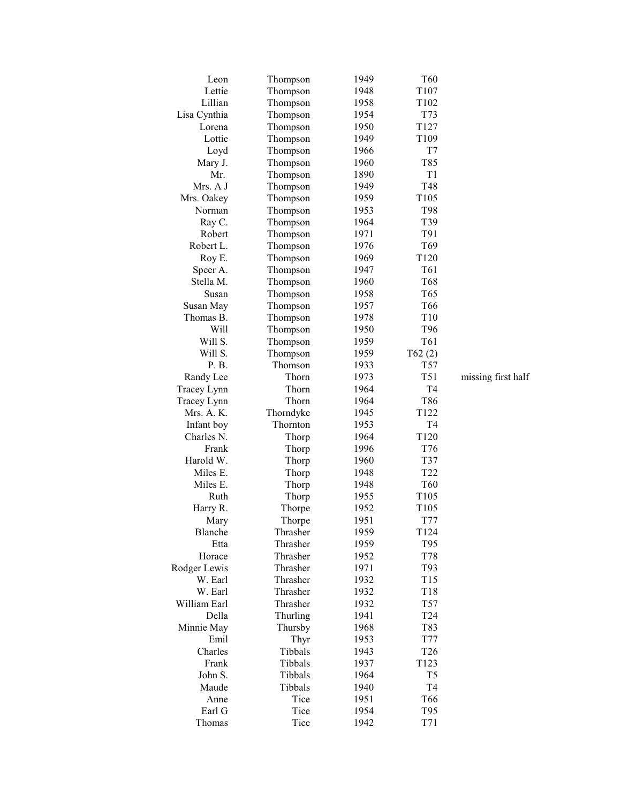| Leon            | Thompson           | 1949 | T <sub>60</sub>  |                    |
|-----------------|--------------------|------|------------------|--------------------|
| Lettie          | Thompson           | 1948 | T107             |                    |
| Lillian         |                    | 1958 |                  |                    |
|                 | Thompson           |      | T102             |                    |
| Lisa Cynthia    | Thompson           | 1954 | T73              |                    |
| Lorena          | Thompson           | 1950 | T127             |                    |
| Lottie          | Thompson           | 1949 | T109             |                    |
| Loyd            | Thompson           | 1966 | T7               |                    |
| Mary J.         | Thompson           | 1960 | T85              |                    |
| Mr.             | Thompson           | 1890 | T1               |                    |
| Mrs. A J        | Thompson           | 1949 | T48              |                    |
| Mrs. Oakey      | Thompson           | 1959 | T105             |                    |
| Norman          | Thompson           | 1953 | T98              |                    |
| Ray C.          | Thompson           | 1964 | T39              |                    |
| Robert          | Thompson           | 1971 | T91              |                    |
| Robert L.       | Thompson           | 1976 | T <sub>69</sub>  |                    |
| Roy E.          | Thompson           | 1969 | T <sub>120</sub> |                    |
| Speer A.        | Thompson           | 1947 | T61              |                    |
| Stella M.       | Thompson           | 1960 | T <sub>68</sub>  |                    |
| Susan           | Thompson           | 1958 | T <sub>65</sub>  |                    |
| Susan May       | Thompson           | 1957 | T <sub>66</sub>  |                    |
| Thomas B.       | Thompson           | 1978 | T10              |                    |
| Will            | Thompson           | 1950 | T96              |                    |
| Will S.         | Thompson           | 1959 | T61              |                    |
| Will S.         | Thompson           | 1959 | T62(2)           |                    |
| P. B.           | Thomson            | 1933 | T <sub>57</sub>  |                    |
| Randy Lee       | Thorn              | 1973 | T51              | missing first half |
| Tracey Lynn     | Thorn              | 1964 | T4               |                    |
| Tracey Lynn     | Thorn              | 1964 | T86              |                    |
| Mrs. A. K.      | Thorndyke          | 1945 | T <sub>122</sub> |                    |
| Infant boy      | Thornton           | 1953 | T4               |                    |
| Charles N.      | Thorp              | 1964 | T120             |                    |
| Frank           | Thorp              | 1996 | T76              |                    |
| Harold W.       | Thorp              | 1960 | T37              |                    |
| Miles E.        | Thorp              | 1948 | T <sub>22</sub>  |                    |
| Miles E.        | Thorp              | 1948 | T <sub>60</sub>  |                    |
| Ruth            |                    | 1955 | T105             |                    |
|                 | Thorp              | 1952 | T105             |                    |
| Harry R.        | Thorpe             | 1951 | T77              |                    |
| Mary<br>Blanche | Thorpe<br>Thrasher |      |                  |                    |
|                 |                    | 1959 | T124             |                    |
| Etta            | Thrasher           | 1959 | T95              |                    |
| Horace          | Thrasher           | 1952 | T78              |                    |
| Rodger Lewis    | Thrasher           | 1971 | T93              |                    |
| W. Earl         | Thrasher           | 1932 | T15              |                    |
| W. Earl         | Thrasher           | 1932 | T18              |                    |
| William Earl    | Thrasher           | 1932 | T57              |                    |
| Della           | Thurling           | 1941 | T <sub>24</sub>  |                    |
| Minnie May      | Thursby            | 1968 | T83              |                    |
| Emil            | Thyr               | 1953 | T77              |                    |
| Charles         | Tibbals            | 1943 | T <sub>26</sub>  |                    |
| Frank           | Tibbals            | 1937 | T123             |                    |
| John S.         | Tibbals            | 1964 | T <sub>5</sub>   |                    |
| Maude           | Tibbals            | 1940 | T <sub>4</sub>   |                    |
| Anne            | Tice               | 1951 | T <sub>66</sub>  |                    |
| Earl G          | Tice               | 1954 | T95              |                    |
| Thomas          | Tice               | 1942 | T71              |                    |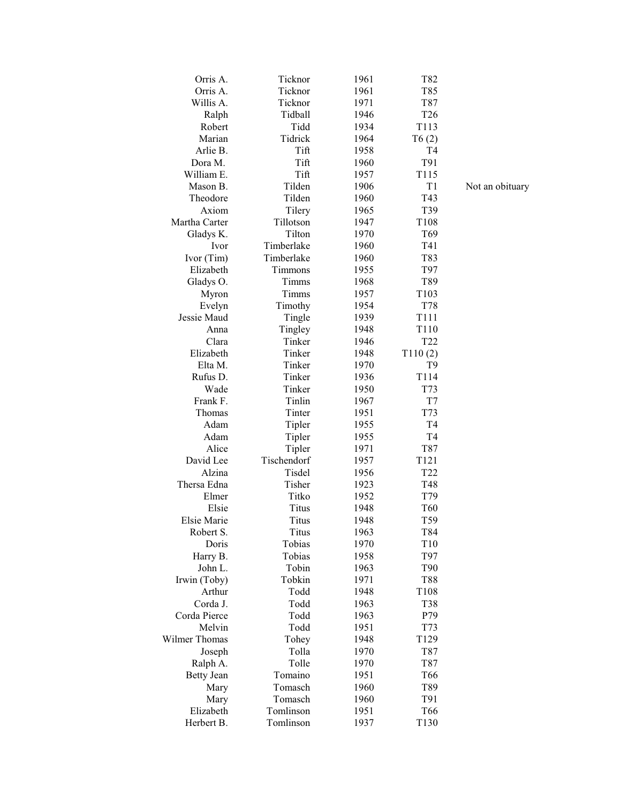| Orris A.          | Ticknor      | 1961 | T82             |
|-------------------|--------------|------|-----------------|
| Orris A.          | Ticknor      | 1961 | T85             |
| Willis A.         | Ticknor      | 1971 | T87             |
| Ralph             | Tidball      | 1946 | T <sub>26</sub> |
| Robert            | Tidd         | 1934 | T113            |
| Marian            | Tidrick      | 1964 | T6(2)           |
| Arlie B.          | Tift         | 1958 | T <sub>4</sub>  |
| Dora M.           | Tift         | 1960 | T91             |
| William E.        | Tift         | 1957 | T115            |
| Mason B.          | Tilden       | 1906 | T1              |
| Theodore          | Tilden       | 1960 | T43             |
| Axiom             | Tilery       | 1965 | T39             |
| Martha Carter     | Tillotson    | 1947 | T108            |
| Gladys K.         | Tilton       | 1970 | T69             |
| Ivor              | Timberlake   | 1960 | T41             |
| Ivor (Tim)        | Timberlake   | 1960 | T83             |
| Elizabeth         | Timmons      | 1955 | T97             |
| Gladys O.         | Timms        | 1968 | T89             |
| Myron             | Timms        | 1957 | T103            |
| Evelyn            | Timothy      | 1954 | T78             |
| Jessie Maud       | Tingle       | 1939 | T111            |
| Anna              | Tingley      | 1948 | T110            |
| Clara             | Tinker       | 1946 | T <sub>22</sub> |
| Elizabeth         | Tinker       | 1948 | T110(2)         |
| Elta M.           | Tinker       | 1970 | T <sub>9</sub>  |
| Rufus D.          | Tinker       | 1936 | T114            |
| Wade              | Tinker       | 1950 | T73             |
| Frank F.          | Tinlin       | 1967 | T7              |
| Thomas            | Tinter       | 1951 | T73             |
| Adam              | Tipler       | 1955 | T <sub>4</sub>  |
| Adam              | Tipler       | 1955 | T <sub>4</sub>  |
| Alice             | Tipler       | 1971 | T87             |
| David Lee         | Tischendorf  | 1957 | T121            |
| Alzina            | Tisdel       | 1956 | T <sub>22</sub> |
| Thersa Edna       | Tisher       | 1923 | T48             |
| Elmer             | Titko        | 1952 | T79             |
| Elsie             | <b>Titus</b> | 1948 | T <sub>60</sub> |
| Elsie Marie       | Titus        | 1948 | T59             |
| Robert S.         | Titus        | 1963 | T84             |
| Doris             | Tobias       | 1970 | T <sub>10</sub> |
| Harry B.          | Tobias       | 1958 | T97             |
| John L.           | Tobin        | 1963 | T90             |
| Irwin (Toby)      | Tobkin       | 1971 | <b>T88</b>      |
| Arthur            | Todd         | 1948 | T108            |
| Corda J.          | Todd         | 1963 | <b>T38</b>      |
| Corda Pierce      | Todd         | 1963 | P79             |
| Melvin            | Todd         | 1951 | T73             |
| Wilmer Thomas     | Tohey        | 1948 | T129            |
| Joseph            | Tolla        | 1970 | T87             |
| Ralph A.          | Tolle        | 1970 | T87             |
| <b>Betty Jean</b> | Tomaino      | 1951 | T66             |
| Mary              | Tomasch      | 1960 | T89             |
| Mary              | Tomasch      | 1960 | T91             |
| Elizabeth         | Tomlinson    | 1951 | T66             |
| Herbert B.        | Tomlinson    | 1937 | T130            |
|                   |              |      |                 |

Not an obituary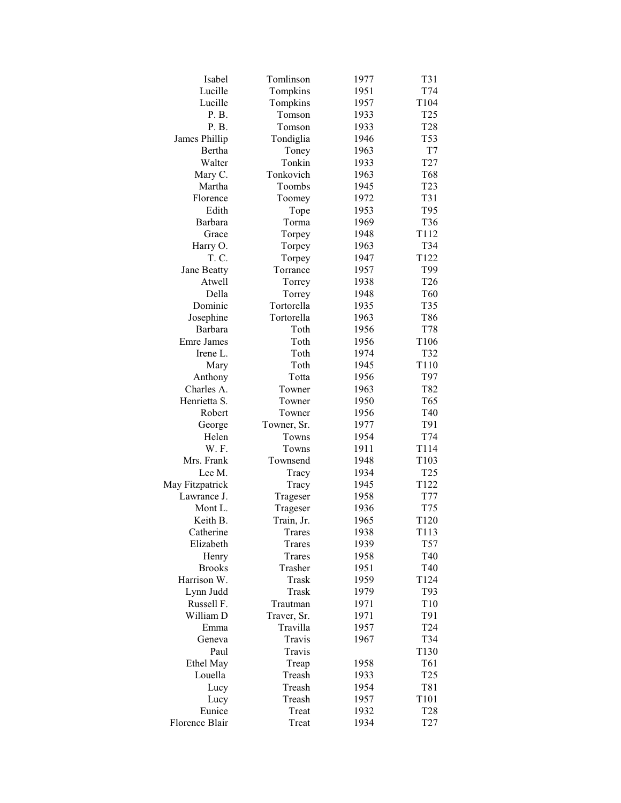| Isabel            | Tomlinson   | 1977 | T31             |
|-------------------|-------------|------|-----------------|
| Lucille           | Tompkins    | 1951 | T74             |
| Lucille           | Tompkins    | 1957 | T104            |
| P. B.             | Tomson      | 1933 | T <sub>25</sub> |
| P. B.             | Tomson      | 1933 | T <sub>28</sub> |
| James Phillip     | Tondiglia   | 1946 | T53             |
| Bertha            | Toney       | 1963 | T7              |
| Walter            | Tonkin      | 1933 | T <sub>27</sub> |
| Mary C.           | Tonkovich   | 1963 | T68             |
| Martha            | Toombs      | 1945 | T <sub>23</sub> |
| Florence          | Toomey      | 1972 | T31             |
| Edith             | Tope        | 1953 | T95             |
| Barbara           | Torma       | 1969 | T36             |
| Grace             | Torpey      | 1948 | T112            |
| Harry O.          | Torpey      | 1963 | T34             |
| T. C.             | Torpey      | 1947 | T122            |
| Jane Beatty       | Torrance    | 1957 | T99             |
| Atwell            | Torrey      | 1938 | T <sub>26</sub> |
| Della             | Torrey      | 1948 | T60             |
| Dominic           | Tortorella  | 1935 | T35             |
|                   | Tortorella  | 1963 |                 |
| Josephine         |             |      | T86             |
| Barbara           | Toth        | 1956 | T78             |
| <b>Emre James</b> | Toth        | 1956 | T106            |
| Irene L.          | Toth        | 1974 | T32             |
| Mary              | Toth        | 1945 | T110            |
| Anthony           | Totta       | 1956 | T97             |
| Charles A.        | Towner      | 1963 | T82             |
| Henrietta S.      | Towner      | 1950 | T65             |
| Robert            | Towner      | 1956 | T40             |
| George            | Towner, Sr. | 1977 | T91             |
| Helen             | Towns       | 1954 | T74             |
| W. F.             | Towns       | 1911 | T114            |
| Mrs. Frank        | Townsend    | 1948 | T103            |
| Lee M.            | Tracy       | 1934 | T <sub>25</sub> |
| May Fitzpatrick   | Tracy       | 1945 | T122            |
| Lawrance J.       | Trageser    | 1958 | T77             |
| Mont L.           | Trageser    | 1936 | T75             |
| Keith B.          | Train, Jr.  | 1965 | T120            |
| Catherine         | Trares      | 1938 | T113            |
| Elizabeth         | Trares      | 1939 | T57             |
| Henry             | Trares      | 1958 | T40             |
| <b>Brooks</b>     | Trasher     | 1951 | T40             |
| Harrison W.       | Trask       | 1959 | T124            |
| Lynn Judd         | Trask       | 1979 | T93             |
| Russell F.        | Trautman    | 1971 | T10             |
| William D         | Traver, Sr. | 1971 | T91             |
| Emma              | Travilla    | 1957 | T <sub>24</sub> |
| Geneva            | Travis      | 1967 | T34             |
| Paul              | Travis      |      | T130            |
| Ethel May         | Treap       | 1958 | T61             |
| Louella           | Treash      | 1933 | T <sub>25</sub> |
| Lucy              | Treash      | 1954 | T81             |
| Lucy              | Treash      | 1957 | T101            |
| Eunice            | Treat       | 1932 | T <sub>28</sub> |
| Florence Blair    | Treat       | 1934 | T <sub>27</sub> |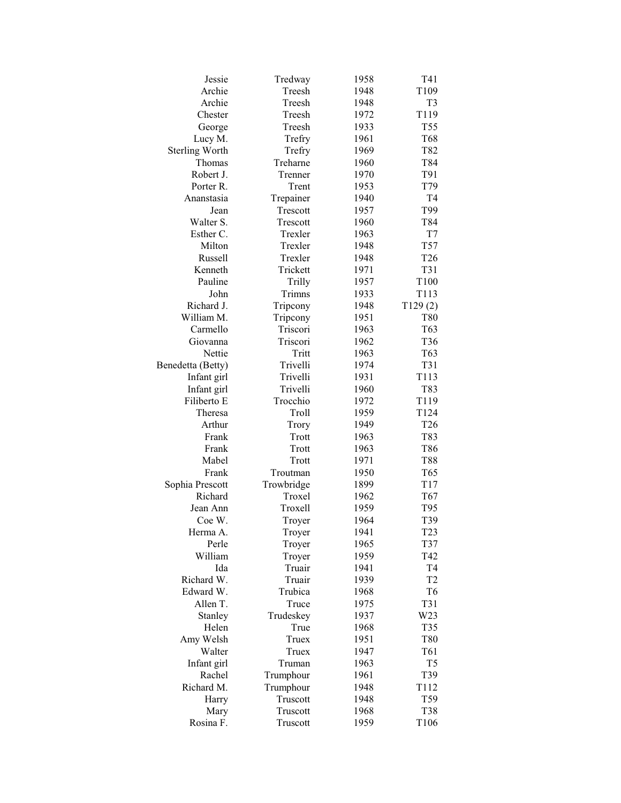| Jessie                | Tredway    | 1958 | T41             |
|-----------------------|------------|------|-----------------|
| Archie                | Treesh     | 1948 | T109            |
| Archie                | Treesh     | 1948 | T <sub>3</sub>  |
| Chester               | Treesh     | 1972 | T119            |
| George                | Treesh     | 1933 | T55             |
| Lucy M.               | Trefry     | 1961 | T68             |
| <b>Sterling Worth</b> | Trefry     | 1969 | T82             |
| Thomas                | Treharne   | 1960 | T84             |
| Robert J.             | Trenner    | 1970 | T91             |
| Porter R.             | Trent      | 1953 | T79             |
| Ananstasia            | Trepainer  | 1940 | T <sub>4</sub>  |
| Jean                  | Trescott   | 1957 | T99             |
| Walter S.             | Trescott   | 1960 | T84             |
| Esther C.             | Trexler    | 1963 | T7              |
| Milton                | Trexler    | 1948 | T57             |
| <b>Russell</b>        | Trexler    | 1948 | T <sub>26</sub> |
| Kenneth               | Trickett   | 1971 | T31             |
| Pauline               | Trilly     | 1957 | T100            |
| John                  | Trimns     | 1933 | T113            |
|                       |            |      |                 |
| Richard J.            | Tripcony   | 1948 | T129(2)         |
| William M.            | Tripcony   | 1951 | <b>T80</b>      |
| Carmello              | Triscori   | 1963 | T <sub>63</sub> |
| Giovanna              | Triscori   | 1962 | T <sub>36</sub> |
| Nettie                | Tritt      | 1963 | T63             |
| Benedetta (Betty)     | Trivelli   | 1974 | T31             |
| Infant girl           | Trivelli   | 1931 | T113            |
| Infant girl           | Trivelli   | 1960 | T83             |
| Filiberto E           | Trocchio   | 1972 | T119            |
| Theresa               | Troll      | 1959 | T124            |
| Arthur                | Trory      | 1949 | T <sub>26</sub> |
| Frank                 | Trott      | 1963 | T83             |
| Frank                 | Trott      | 1963 | T86             |
| Mabel                 | Trott      | 1971 | <b>T88</b>      |
| Frank                 | Troutman   | 1950 | T <sub>65</sub> |
| Sophia Prescott       | Trowbridge | 1899 | T17             |
| Richard               | Troxel     | 1962 | T <sub>67</sub> |
| Jean Ann              | Troxell    | 1959 | T95             |
| Coe W.                | Troyer     | 1964 | T39             |
| Herma A.              | Troyer     | 1941 | T <sub>23</sub> |
| Perle                 | Troyer     | 1965 | T37             |
| William               | Troyer     | 1959 | T42             |
| Ida                   | Truair     | 1941 | T <sub>4</sub>  |
| Richard W.            | Truair     | 1939 | T <sub>2</sub>  |
| Edward W.             | Trubica    | 1968 | T <sub>6</sub>  |
| Allen T.              | Truce      | 1975 | T31             |
| Stanley               | Trudeskey  | 1937 | W23             |
| Helen                 | True       | 1968 | T35             |
| Amy Welsh             | Truex      | 1951 | T80             |
| Walter                | Truex      | 1947 | T61             |
| Infant girl           | Truman     | 1963 | T <sub>5</sub>  |
| Rachel                | Trumphour  | 1961 | T39             |
| Richard M.            | Trumphour  | 1948 | T112            |
| Harry                 | Truscott   | 1948 | T59             |
| Mary                  | Truscott   | 1968 | <b>T38</b>      |
| Rosina F.             | Truscott   | 1959 | T106            |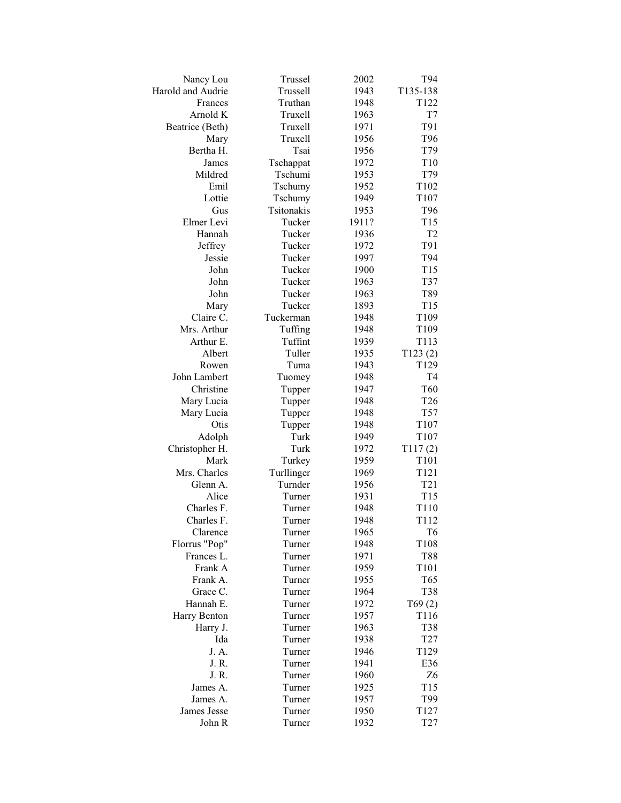| Nancy Lou              | Trussel    | 2002  | T94              |
|------------------------|------------|-------|------------------|
| Harold and Audrie      | Trussell   | 1943  | T135-138         |
| Frances                | Truthan    | 1948  | T122             |
| Arnold K               | Truxell    | 1963  | T7               |
| Beatrice (Beth)        | Truxell    | 1971  | T91              |
| Mary                   | Truxell    | 1956  | T96              |
| Bertha H.              | Tsai       | 1956  | T79              |
| James                  | Tschappat  | 1972  | T10              |
| Mildred                | Tschumi    | 1953  | T79              |
| Emil                   | Tschumy    | 1952  | T102             |
| Lottie                 | Tschumy    | 1949  | T107             |
| Gus                    | Tsitonakis | 1953  | T96              |
| Elmer Levi             | Tucker     | 1911? | T15              |
| Hannah                 | Tucker     | 1936  | T <sub>2</sub>   |
| Jeffrey                | Tucker     | 1972  | T91              |
| Jessie                 | Tucker     | 1997  | T94              |
| John                   | Tucker     | 1900  | T15              |
| John                   | Tucker     | 1963  | T37              |
| John                   | Tucker     | 1963  | T89              |
| Mary                   | Tucker     | 1893  | T15              |
| Claire C.              | Tuckerman  | 1948  | T109             |
| Mrs. Arthur            | Tuffing    | 1948  | T109             |
| Arthur E.              | Tuffint    | 1939  | T113             |
| Albert                 | Tuller     | 1935  | T123(2)          |
| Rowen                  | Tuma       | 1943  | T129             |
| John Lambert           |            | 1948  | T4               |
| Christine              | Tuomey     | 1947  | T60              |
|                        | Tupper     | 1948  | T <sub>26</sub>  |
| Mary Lucia             | Tupper     | 1948  | T <sub>57</sub>  |
| Mary Lucia<br>Otis     | Tupper     | 1948  | T107             |
|                        | Tupper     |       |                  |
| Adolph                 | Turk       | 1949  | T107             |
| Christopher H.<br>Mark | Turk       | 1972  | T117(2)<br>T101  |
|                        | Turkey     | 1959  |                  |
| Mrs. Charles           | Turllinger | 1969  | T121             |
| Glenn A.               | Turnder    | 1956  | T <sub>21</sub>  |
| Alice                  | Turner     | 1931  | T <sub>15</sub>  |
| Charles F.             | Turner     | 1948  | T110             |
| Charles F.             | Turner     | 1948  | T112             |
| Clarence               | Turner     | 1965  | T <sub>6</sub>   |
| Florrus "Pop"          | Turner     | 1948  | T108             |
| Frances L.             | Turner     | 1971  | <b>T88</b>       |
| Frank A                | Turner     | 1959  | T101             |
| Frank A.               | Turner     | 1955  | T65              |
| Grace C.               | Turner     | 1964  | T38              |
| Hannah E.              | Turner     | 1972  | T69(2)           |
| Harry Benton           | Turner     | 1957  | T <sub>116</sub> |
| Harry J.               | Turner     | 1963  | T38              |
| Ida                    | Turner     | 1938  | T <sub>27</sub>  |
| J. A.                  | Turner     | 1946  | T <sub>129</sub> |
| J. R.                  | Turner     | 1941  | E36              |
| J. R.                  | Turner     | 1960  | Z <sub>6</sub>   |
| James A.               | Turner     | 1925  | T <sub>15</sub>  |
| James A.               | Turner     | 1957  | T99              |
| James Jesse            | Turner     | 1950  | T <sub>127</sub> |
| John R                 | Turner     | 1932  | T <sub>27</sub>  |